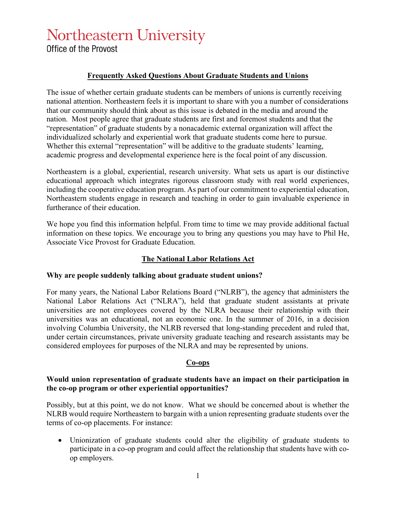# Northeastern University

Office of the Provost

# **Frequently Asked Questions About Graduate Students and Unions**

The issue of whether certain graduate students can be members of unions is currently receiving national attention. Northeastern feels it is important to share with you a number of considerations that our community should think about as this issue is debated in the media and around the nation. Most people agree that graduate students are first and foremost students and that the "representation" of graduate students by a nonacademic external organization will affect the individualized scholarly and experiential work that graduate students come here to pursue. Whether this external "representation" will be additive to the graduate students' learning, academic progress and developmental experience here is the focal point of any discussion.

Northeastern is a global, experiential, research university. What sets us apart is our distinctive educational approach which integrates rigorous classroom study with real world experiences, including the cooperative education program. As part of our commitment to experiential education, Northeastern students engage in research and teaching in order to gain invaluable experience in furtherance of their education.

We hope you find this information helpful. From time to time we may provide additional factual information on these topics. We encourage you to bring any questions you may have to Phil He, Associate Vice Provost for Graduate Education.

# **The National Labor Relations Act**

#### **Why are people suddenly talking about graduate student unions?**

For many years, the National Labor Relations Board ("NLRB"), the agency that administers the National Labor Relations Act ("NLRA"), held that graduate student assistants at private universities are not employees covered by the NLRA because their relationship with their universities was an educational, not an economic one. In the summer of 2016, in a decision involving Columbia University, the NLRB reversed that long-standing precedent and ruled that, under certain circumstances, private university graduate teaching and research assistants may be considered employees for purposes of the NLRA and may be represented by unions.

# **Co-ops**

## **Would union representation of graduate students have an impact on their participation in the co-op program or other experiential opportunities?**

Possibly, but at this point, we do not know. What we should be concerned about is whether the NLRB would require Northeastern to bargain with a union representing graduate students over the terms of co-op placements. For instance:

• Unionization of graduate students could alter the eligibility of graduate students to participate in a co-op program and could affect the relationship that students have with coop employers.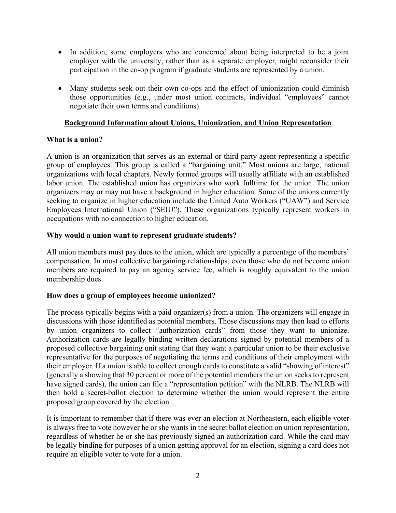- In addition, some employers who are concerned about being interpreted to be a joint employer with the university, rather than as a separate employer, might reconsider their participation in the co-op program if graduate students are represented by a union.
- Many students seek out their own co-ops and the effect of unionization could diminish those opportunities (e.g., under most union contracts, individual "employees" cannot negotiate their own terms and conditions).

# **Background Information about Unions, Unionization, and Union Representation**

# **What is a union?**

A union is an organization that serves as an external or third party agent representing a specific group of employees. This group is called a "bargaining unit." Most unions are large, national organizations with local chapters. Newly formed groups will usually affiliate with an established labor union. The established union has organizers who work fulltime for the union. The union organizers may or may not have a background in higher education. Some of the unions currently seeking to organize in higher education include the United Auto Workers ("UAW") and Service Employees International Union ("SEIU"). These organizations typically represent workers in occupations with no connection to higher education.

# **Why would a union want to represent graduate students?**

All union members must pay dues to the union, which are typically a percentage of the members' compensation. In most collective bargaining relationships, even those who do not become union members are required to pay an agency service fee, which is roughly equivalent to the union membership dues.

# **How does a group of employees become unionized?**

The process typically begins with a paid organizer(s) from a union. The organizers will engage in discussions with those identified as potential members. Those discussions may then lead to efforts by union organizers to collect "authorization cards" from those they want to unionize. Authorization cards are legally binding written declarations signed by potential members of a proposed collective bargaining unit stating that they want a particular union to be their exclusive representative for the purposes of negotiating the terms and conditions of their employment with their employer. If a union is able to collect enough cards to constitute a valid "showing of interest" (generally a showing that 30 percent or more of the potential members the union seeks to represent have signed cards), the union can file a "representation petition" with the NLRB. The NLRB will then hold a secret-ballot election to determine whether the union would represent the entire proposed group covered by the election.

It is important to remember that if there was ever an election at Northeastern, each eligible voter is always free to vote however he or she wants in the secret ballot election on union representation, regardless of whether he or she has previously signed an authorization card. While the card may be legally binding for purposes of a union getting approval for an election, signing a card does not require an eligible voter to vote for a union.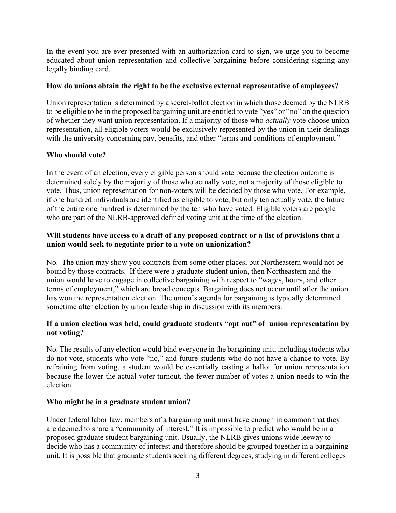In the event you are ever presented with an authorization card to sign, we urge you to become educated about union representation and collective bargaining before considering signing any legally binding card.

## **How do unions obtain the right to be the exclusive external representative of employees?**

Union representation is determined by a secret-ballot election in which those deemed by the NLRB to be eligible to be in the proposed bargaining unit are entitled to vote "yes" or "no" on the question of whether they want union representation. If a majority of those who *actually* vote choose union representation, all eligible voters would be exclusively represented by the union in their dealings with the university concerning pay, benefits, and other "terms and conditions of employment."

# **Who should vote?**

In the event of an election, every eligible person should vote because the election outcome is determined solely by the majority of those who actually vote, not a majority of those eligible to vote. Thus, union representation for non-voters will be decided by those who vote. For example, if one hundred individuals are identified as eligible to vote, but only ten actually vote, the future of the entire one hundred is determined by the ten who have voted. Eligible voters are people who are part of the NLRB-approved defined voting unit at the time of the election.

## **Will students have access to a draft of any proposed contract or a list of provisions that a union would seek to negotiate prior to a vote on unionization?**

No. The union may show you contracts from some other places, but Northeastern would not be bound by those contracts. If there were a graduate student union, then Northeastern and the union would have to engage in collective bargaining with respect to "wages, hours, and other terms of employment," which are broad concepts. Bargaining does not occur until after the union has won the representation election. The union's agenda for bargaining is typically determined sometime after election by union leadership in discussion with its members.

# **If a union election was held, could graduate students "opt out" of union representation by not voting?**

No. The results of any election would bind everyone in the bargaining unit, including students who do not vote, students who vote "no," and future students who do not have a chance to vote. By refraining from voting, a student would be essentially casting a ballot for union representation because the lower the actual voter turnout, the fewer number of votes a union needs to win the election.

#### **Who might be in a graduate student union?**

Under federal labor law, members of a bargaining unit must have enough in common that they are deemed to share a "community of interest." It is impossible to predict who would be in a proposed graduate student bargaining unit. Usually, the NLRB gives unions wide leeway to decide who has a community of interest and therefore should be grouped together in a bargaining unit. It is possible that graduate students seeking different degrees, studying in different colleges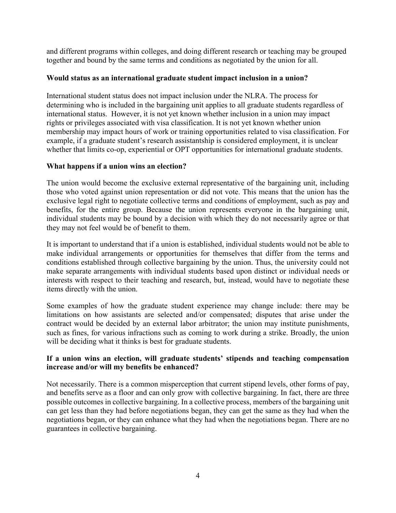and different programs within colleges, and doing different research or teaching may be grouped together and bound by the same terms and conditions as negotiated by the union for all.

#### **Would status as an international graduate student impact inclusion in a union?**

International student status does not impact inclusion under the NLRA. The process for determining who is included in the bargaining unit applies to all graduate students regardless of international status. However, it is not yet known whether inclusion in a union may impact rights or privileges associated with visa classification. It is not yet known whether union membership may impact hours of work or training opportunities related to visa classification. For example, if a graduate student's research assistantship is considered employment, it is unclear whether that limits co-op, experiential or OPT opportunities for international graduate students.

## **What happens if a union wins an election?**

The union would become the exclusive external representative of the bargaining unit, including those who voted against union representation or did not vote. This means that the union has the exclusive legal right to negotiate collective terms and conditions of employment, such as pay and benefits, for the entire group. Because the union represents everyone in the bargaining unit, individual students may be bound by a decision with which they do not necessarily agree or that they may not feel would be of benefit to them.

It is important to understand that if a union is established, individual students would not be able to make individual arrangements or opportunities for themselves that differ from the terms and conditions established through collective bargaining by the union. Thus, the university could not make separate arrangements with individual students based upon distinct or individual needs or interests with respect to their teaching and research, but, instead, would have to negotiate these items directly with the union.

Some examples of how the graduate student experience may change include: there may be limitations on how assistants are selected and/or compensated; disputes that arise under the contract would be decided by an external labor arbitrator; the union may institute punishments, such as fines, for various infractions such as coming to work during a strike. Broadly, the union will be deciding what it thinks is best for graduate students.

## **If a union wins an election, will graduate students' stipends and teaching compensation increase and/or will my benefits be enhanced?**

Not necessarily. There is a common misperception that current stipend levels, other forms of pay, and benefits serve as a floor and can only grow with collective bargaining. In fact, there are three possible outcomes in collective bargaining. In a collective process, members of the bargaining unit can get less than they had before negotiations began, they can get the same as they had when the negotiations began, or they can enhance what they had when the negotiations began. There are no guarantees in collective bargaining.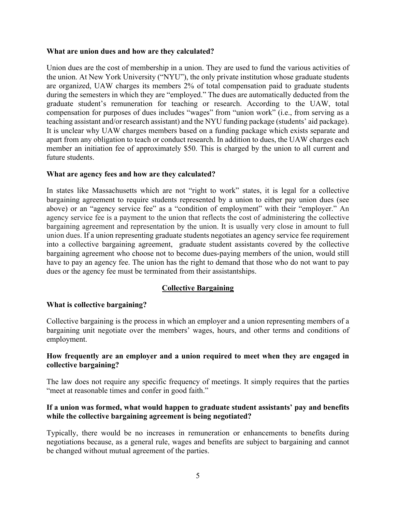#### **What are union dues and how are they calculated?**

Union dues are the cost of membership in a union. They are used to fund the various activities of the union. At New York University ("NYU"), the only private institution whose graduate students are organized, UAW charges its members 2% of total compensation paid to graduate students during the semesters in which they are "employed." The dues are automatically deducted from the graduate student's remuneration for teaching or research. According to the UAW, total compensation for purposes of dues includes "wages" from "union work" (i.e., from serving as a teaching assistant and/or research assistant) and the NYU funding package (students' aid package). It is unclear why UAW charges members based on a funding package which exists separate and apart from any obligation to teach or conduct research. In addition to dues, the UAW charges each member an initiation fee of approximately \$50. This is charged by the union to all current and future students.

#### **What are agency fees and how are they calculated?**

In states like Massachusetts which are not "right to work" states, it is legal for a collective bargaining agreement to require students represented by a union to either pay union dues (see above) or an "agency service fee" as a "condition of employment" with their "employer." An agency service fee is a payment to the union that reflects the cost of administering the collective bargaining agreement and representation by the union. It is usually very close in amount to full union dues. If a union representing graduate students negotiates an agency service fee requirement into a collective bargaining agreement, graduate student assistants covered by the collective bargaining agreement who choose not to become dues-paying members of the union, would still have to pay an agency fee. The union has the right to demand that those who do not want to pay dues or the agency fee must be terminated from their assistantships.

# **Collective Bargaining**

#### **What is collective bargaining?**

Collective bargaining is the process in which an employer and a union representing members of a bargaining unit negotiate over the members' wages, hours, and other terms and conditions of employment.

#### **How frequently are an employer and a union required to meet when they are engaged in collective bargaining?**

The law does not require any specific frequency of meetings. It simply requires that the parties "meet at reasonable times and confer in good faith."

## **If a union was formed, what would happen to graduate student assistants' pay and benefits while the collective bargaining agreement is being negotiated?**

Typically, there would be no increases in remuneration or enhancements to benefits during negotiations because, as a general rule, wages and benefits are subject to bargaining and cannot be changed without mutual agreement of the parties.